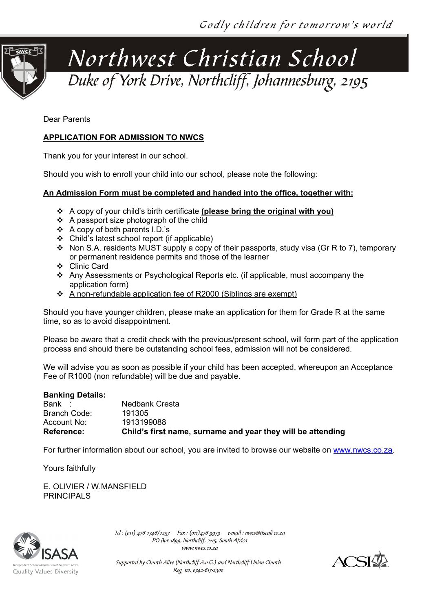

Dear Parents

#### **APPLICATION FOR ADMISSION TO NWCS**

Thank you for your interest in our school.

Should you wish to enroll your child into our school, please note the following:

#### **An Admission Form must be completed and handed into the office, together with:**

- A copy of your child's birth certificate **(please bring the original with you)**
- $\div$  A passport size photograph of the child
- $\div$  A copy of both parents I.D.'s
- Child's latest school report (if applicable)
- Non S.A. residents MUST supply a copy of their passports, study visa (Gr R to 7), temporary or permanent residence permits and those of the learner
- Clinic Card
- Any Assessments or Psychological Reports etc. (if applicable, must accompany the application form)
- A non-refundable application fee of R2000 (Siblings are exempt)

Should you have younger children, please make an application for them for Grade R at the same time, so as to avoid disappointment.

Please be aware that a credit check with the previous/present school, will form part of the application process and should there be outstanding school fees, admission will not be considered.

We will advise you as soon as possible if your child has been accepted, whereupon an Acceptance Fee of R1000 (non refundable) will be due and payable.

#### **Banking Details:**

| Bank              | Nedbank Cresta                                              |
|-------------------|-------------------------------------------------------------|
| Branch Code:      | 191305                                                      |
| Account No:       | 1913199088                                                  |
| <b>Reference:</b> | Child's first name, surname and year they will be attending |

For further information about our school, you are invited to browse our website on [www.nwcs.co.za.](http://www.nwcs.co.za/)

Yours faithfully

E. OLIVIER / W.MANSFIELD PRINCIPAL<sub>S</sub>



Tel : (011) 476 7746/7257 Fax : (011)476 9979 e-mail : nwcs@tiscali.co.za PO Box 1899, Northcliff, 2115, South Africa www.nwcs.co.za



Supported by Church Alive (Northcliff A.o.G.) and Northcliff Union Church Reg no. 0742-617-2300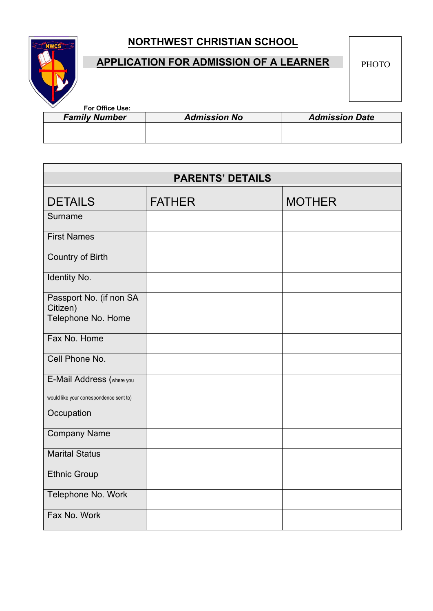

# **APPLICATION FOR ADMISSION OF A LEARNER**

PHOTO

| For Office Use:      |                     |                       |
|----------------------|---------------------|-----------------------|
| <b>Family Number</b> | <b>Admission No</b> | <b>Admission Date</b> |
|                      |                     |                       |
|                      |                     |                       |

| <b>PARENTS' DETAILS</b>                 |               |               |  |
|-----------------------------------------|---------------|---------------|--|
| <b>DETAILS</b>                          | <b>FATHER</b> | <b>MOTHER</b> |  |
| Surname                                 |               |               |  |
| <b>First Names</b>                      |               |               |  |
| <b>Country of Birth</b>                 |               |               |  |
| Identity No.                            |               |               |  |
| Passport No. (if non SA<br>Citizen)     |               |               |  |
| Telephone No. Home                      |               |               |  |
| Fax No. Home                            |               |               |  |
| Cell Phone No.                          |               |               |  |
| E-Mail Address (where you               |               |               |  |
| would like your correspondence sent to) |               |               |  |
| Occupation                              |               |               |  |
| <b>Company Name</b>                     |               |               |  |
| <b>Marital Status</b>                   |               |               |  |
| <b>Ethnic Group</b>                     |               |               |  |
| Telephone No. Work                      |               |               |  |
| Fax No. Work                            |               |               |  |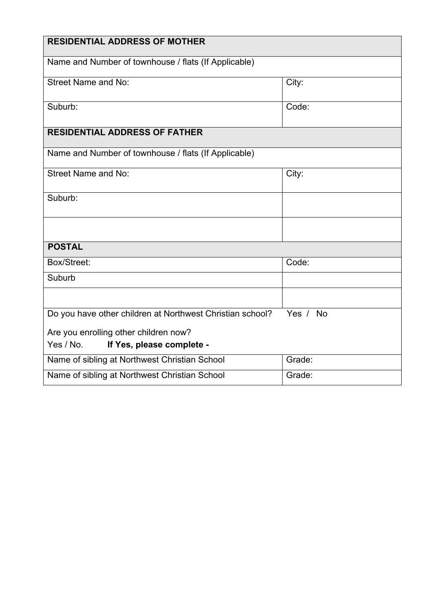| <b>RESIDENTIAL ADDRESS OF MOTHER</b>                      |          |
|-----------------------------------------------------------|----------|
| Name and Number of townhouse / flats (If Applicable)      |          |
| <b>Street Name and No:</b>                                | City:    |
| Suburb:                                                   | Code:    |
| <b>RESIDENTIAL ADDRESS OF FATHER</b>                      |          |
| Name and Number of townhouse / flats (If Applicable)      |          |
| Street Name and No:                                       | City:    |
| Suburb:                                                   |          |
|                                                           |          |
| <b>POSTAL</b>                                             |          |
| Box/Street:                                               | Code:    |
| Suburb                                                    |          |
|                                                           |          |
| Do you have other children at Northwest Christian school? | Yes / No |
| Are you enrolling other children now?                     |          |
| Yes / No.<br>If Yes, please complete -                    |          |
| Name of sibling at Northwest Christian School             | Grade:   |
| Name of sibling at Northwest Christian School             | Grade:   |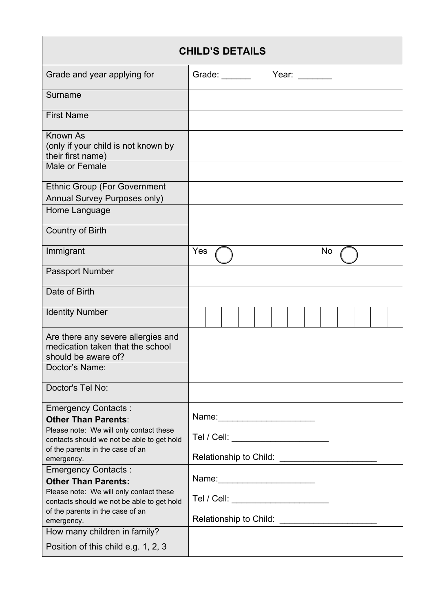| <b>CHILD'S DETAILS</b>                                                                                                                                                                              |                                                                                                                                               |  |  |
|-----------------------------------------------------------------------------------------------------------------------------------------------------------------------------------------------------|-----------------------------------------------------------------------------------------------------------------------------------------------|--|--|
| Grade and year applying for                                                                                                                                                                         | Grade: $\frac{1}{\sqrt{1-\frac{1}{2}}\sqrt{1-\frac{1}{2}}\sqrt{1-\frac{1}{2}}\sqrt{1-\frac{1}{2}}\sqrt{1-\frac{1}{2}}$<br>Year: $\frac{1}{2}$ |  |  |
| Surname                                                                                                                                                                                             |                                                                                                                                               |  |  |
| <b>First Name</b>                                                                                                                                                                                   |                                                                                                                                               |  |  |
| <b>Known As</b><br>(only if your child is not known by<br>their first name)                                                                                                                         |                                                                                                                                               |  |  |
| Male or Female                                                                                                                                                                                      |                                                                                                                                               |  |  |
| <b>Ethnic Group (For Government</b><br>Annual Survey Purposes only)<br>Home Language                                                                                                                |                                                                                                                                               |  |  |
|                                                                                                                                                                                                     |                                                                                                                                               |  |  |
| <b>Country of Birth</b>                                                                                                                                                                             |                                                                                                                                               |  |  |
| Immigrant                                                                                                                                                                                           | Yes<br>No                                                                                                                                     |  |  |
| Passport Number                                                                                                                                                                                     |                                                                                                                                               |  |  |
| Date of Birth                                                                                                                                                                                       |                                                                                                                                               |  |  |
| <b>Identity Number</b>                                                                                                                                                                              |                                                                                                                                               |  |  |
| Are there any severe allergies and<br>medication taken that the school<br>should be aware of?                                                                                                       |                                                                                                                                               |  |  |
| Doctor's Name:                                                                                                                                                                                      |                                                                                                                                               |  |  |
| Doctor's Tel No:                                                                                                                                                                                    |                                                                                                                                               |  |  |
| <b>Emergency Contacts:</b><br><b>Other Than Parents:</b><br>Please note: We will only contact these<br>contacts should we not be able to get hold<br>of the parents in the case of an<br>emergency. | Tel / Cell: _______________________                                                                                                           |  |  |
| <b>Emergency Contacts:</b><br><b>Other Than Parents:</b>                                                                                                                                            | Name: __________________________                                                                                                              |  |  |
| Please note: We will only contact these<br>contacts should we not be able to get hold<br>of the parents in the case of an                                                                           | Tel / Cell: _______________________                                                                                                           |  |  |
| emergency.<br>How many children in family?                                                                                                                                                          | Relationship to Child: ________________________                                                                                               |  |  |
| Position of this child e.g. 1, 2, 3                                                                                                                                                                 |                                                                                                                                               |  |  |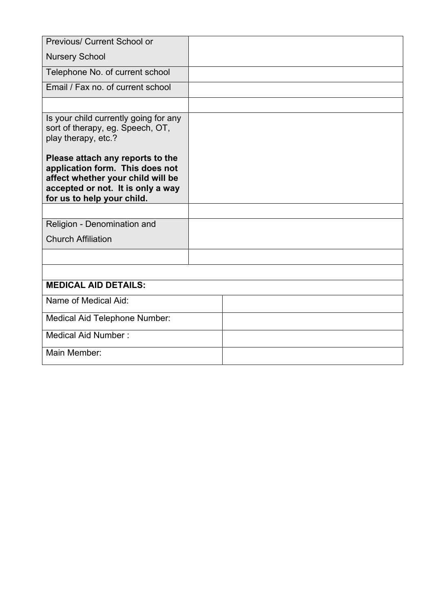| <b>Previous/ Current School or</b>                                                                                                                                          |  |
|-----------------------------------------------------------------------------------------------------------------------------------------------------------------------------|--|
| <b>Nursery School</b>                                                                                                                                                       |  |
| Telephone No. of current school                                                                                                                                             |  |
| Email / Fax no. of current school                                                                                                                                           |  |
|                                                                                                                                                                             |  |
| Is your child currently going for any<br>sort of therapy, eg. Speech, OT,<br>play therapy, etc.?                                                                            |  |
| Please attach any reports to the<br>application form. This does not<br>affect whether your child will be<br>accepted or not. It is only a way<br>for us to help your child. |  |
|                                                                                                                                                                             |  |
| Religion - Denomination and                                                                                                                                                 |  |
| <b>Church Affiliation</b>                                                                                                                                                   |  |
|                                                                                                                                                                             |  |
|                                                                                                                                                                             |  |
| <b>MEDICAL AID DETAILS:</b>                                                                                                                                                 |  |
| Name of Medical Aid:                                                                                                                                                        |  |
| Medical Aid Telephone Number:                                                                                                                                               |  |
| Medical Aid Number:                                                                                                                                                         |  |
| Main Member:                                                                                                                                                                |  |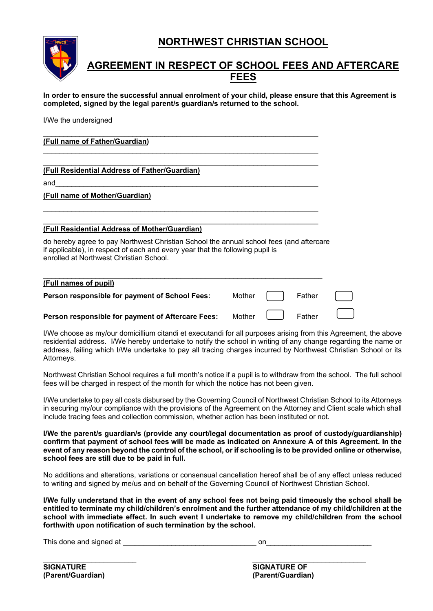

## **AGREEMENT IN RESPECT OF SCHOOL FEES AND AFTERCARE FEES**

**In order to ensure the successful annual enrolment of your child, please ensure that this Agreement is completed, signed by the legal parent/s guardian/s returned to the school.** 

I/We the undersigned

#### \_\_\_\_\_\_\_\_\_\_\_\_\_\_\_\_\_\_\_\_\_\_\_\_\_\_\_\_\_\_\_\_\_\_\_\_\_\_\_\_\_\_\_\_\_\_\_\_\_\_\_\_\_\_\_\_\_\_\_\_\_\_\_\_\_\_\_\_ **(Full name of Father/Guardian)**

#### \_\_\_\_\_\_\_\_\_\_\_\_\_\_\_\_\_\_\_\_\_\_\_\_\_\_\_\_\_\_\_\_\_\_\_\_\_\_\_\_\_\_\_\_\_\_\_\_\_\_\_\_\_\_\_\_\_\_\_\_\_\_\_\_\_\_\_\_ **(Full Residential Address of Father/Guardian)**

and\_\_\_\_\_\_\_\_\_\_\_\_\_\_\_\_\_\_\_\_\_\_\_\_\_\_\_\_\_\_\_\_\_\_\_\_\_\_\_\_\_\_\_\_\_\_\_\_\_\_\_\_\_\_\_\_\_\_\_\_\_\_\_\_\_

#### **(Full name of Mother/Guardian)**

#### \_\_\_\_\_\_\_\_\_\_\_\_\_\_\_\_\_\_\_\_\_\_\_\_\_\_\_\_\_\_\_\_\_\_\_\_\_\_\_\_\_\_\_\_\_\_\_\_\_\_\_\_\_\_\_\_\_\_\_\_\_\_\_\_\_\_\_\_ **(Full Residential Address of Mother/Guardian)**

do hereby agree to pay Northwest Christian School the annual school fees (and aftercare if applicable), in respect of each and every year that the following pupil is enrolled at Northwest Christian School.

\_\_\_\_\_\_\_\_\_\_\_\_\_\_\_\_\_\_\_\_\_\_\_\_\_\_\_\_\_\_\_\_\_\_\_\_\_\_\_\_\_\_\_\_\_\_\_\_\_\_\_\_\_\_\_\_\_\_\_\_\_\_\_\_\_\_\_\_

\_\_\_\_\_\_\_\_\_\_\_\_\_\_\_\_\_\_\_\_\_\_\_\_\_\_\_\_\_\_\_\_\_\_\_\_\_\_\_\_\_\_\_\_\_\_\_\_\_\_\_\_\_\_\_\_\_\_\_\_\_\_\_\_\_\_\_\_

#### \_\_\_\_\_\_\_\_\_\_\_\_\_\_\_\_\_\_\_\_\_\_\_\_\_\_\_\_\_\_\_\_\_\_\_\_\_\_\_\_\_\_\_\_\_\_\_\_\_\_\_\_\_\_\_\_\_\_\_\_\_\_\_\_\_\_\_\_\_ **(Full names of pupil)**

| Person responsible for payment of School Fees: | Mother |  | Father |
|------------------------------------------------|--------|--|--------|
|------------------------------------------------|--------|--|--------|

#### **Person responsible for payment of Aftercare Fees:** Mother **Full Mather**

I/We choose as my/our domicillium citandi et executandi for all purposes arising from this Agreement, the above residential address. I/We hereby undertake to notify the school in writing of any change regarding the name or address, failing which I/We undertake to pay all tracing charges incurred by Northwest Christian School or its Attorneys.

Northwest Christian School requires a full month's notice if a pupil is to withdraw from the school. The full school fees will be charged in respect of the month for which the notice has not been given.

I/We undertake to pay all costs disbursed by the Governing Council of Northwest Christian School to its Attorneys in securing my/our compliance with the provisions of the Agreement on the Attorney and Client scale which shall include tracing fees and collection commission, whether action has been instituted or not.

**I/We the parent/s guardian/s (provide any court/legal documentation as proof of custody/guardianship) confirm that payment of school fees will be made as indicated on Annexure A of this Agreement. In the event of any reason beyond the control of the school, or if schooling is to be provided online or otherwise, school fees are still due to be paid in full.**

No additions and alterations, variations or consensual cancellation hereof shall be of any effect unless reduced to writing and signed by me/us and on behalf of the Governing Council of Northwest Christian School.

**I/We fully understand that in the event of any school fees not being paid timeously the school shall be entitled to terminate my child/children's enrolment and the further attendance of my child/children at the school with immediate effect. In such event I undertake to remove my child/children from the school forthwith upon notification of such termination by the school.**

This done and signed at **This** done and signed at

**SIGNATURE SIGNATURE SIGNATURE OF SIGNATURE OF SIGNATURE OF SIGNATURE OF** 

\_\_\_\_\_\_\_\_\_\_\_\_\_\_\_\_\_\_\_\_\_\_\_ \_\_\_\_\_\_\_\_\_\_\_\_\_\_\_\_\_\_\_\_\_\_\_\_\_\_\_\_ **(Parent/Guardian) (Parent/Guardian)**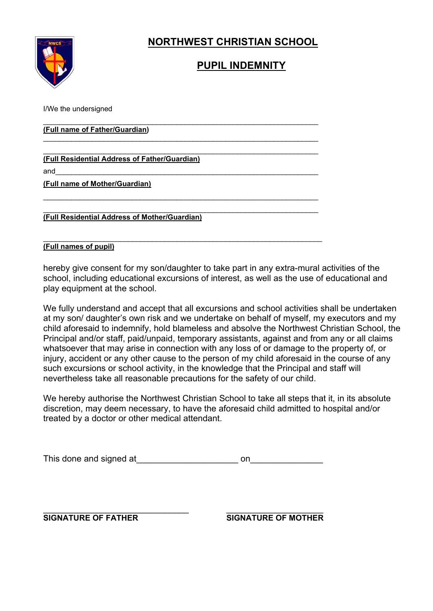

# **PUPIL INDEMNITY**

I/We the undersigned

\_\_\_\_\_\_\_\_\_\_\_\_\_\_\_\_\_\_\_\_\_\_\_\_\_\_\_\_\_\_\_\_\_\_\_\_\_\_\_\_\_\_\_\_\_\_\_\_\_\_\_\_\_\_\_\_\_\_\_\_\_\_\_\_\_\_\_\_ **(Full name of Father/Guardian)**

\_\_\_\_\_\_\_\_\_\_\_\_\_\_\_\_\_\_\_\_\_\_\_\_\_\_\_\_\_\_\_\_\_\_\_\_\_\_\_\_\_\_\_\_\_\_\_\_\_\_\_\_\_\_\_\_\_\_\_\_\_\_\_\_\_\_\_\_ **(Full Residential Address of Father/Guardian)**

and\_\_\_\_\_\_\_\_\_\_\_\_\_\_\_\_\_\_\_\_\_\_\_\_\_\_\_\_\_\_\_\_\_\_\_\_\_\_\_\_\_\_\_\_\_\_\_\_\_\_\_\_\_\_\_\_\_\_\_\_\_\_\_\_\_

**(Full name of Mother/Guardian)**

\_\_\_\_\_\_\_\_\_\_\_\_\_\_\_\_\_\_\_\_\_\_\_\_\_\_\_\_\_\_\_\_\_\_\_\_\_\_\_\_\_\_\_\_\_\_\_\_\_\_\_\_\_\_\_\_\_\_\_\_\_\_\_\_\_\_\_\_ **(Full Residential Address of Mother/Guardian)**

#### \_\_\_\_\_\_\_\_\_\_\_\_\_\_\_\_\_\_\_\_\_\_\_\_\_\_\_\_\_\_\_\_\_\_\_\_\_\_\_\_\_\_\_\_\_\_\_\_\_\_\_\_\_\_\_\_\_\_\_\_\_\_\_\_\_\_\_\_\_ **(Full names of pupil)**

hereby give consent for my son/daughter to take part in any extra-mural activities of the school, including educational excursions of interest, as well as the use of educational and play equipment at the school.

\_\_\_\_\_\_\_\_\_\_\_\_\_\_\_\_\_\_\_\_\_\_\_\_\_\_\_\_\_\_\_\_\_\_\_\_\_\_\_\_\_\_\_\_\_\_\_\_\_\_\_\_\_\_\_\_\_\_\_\_\_\_\_\_\_\_\_\_

\_\_\_\_\_\_\_\_\_\_\_\_\_\_\_\_\_\_\_\_\_\_\_\_\_\_\_\_\_\_\_\_\_\_\_\_\_\_\_\_\_\_\_\_\_\_\_\_\_\_\_\_\_\_\_\_\_\_\_\_\_\_\_\_\_\_\_\_

We fully understand and accept that all excursions and school activities shall be undertaken at my son/ daughter's own risk and we undertake on behalf of myself, my executors and my child aforesaid to indemnify, hold blameless and absolve the Northwest Christian School, the Principal and/or staff, paid/unpaid, temporary assistants, against and from any or all claims whatsoever that may arise in connection with any loss of or damage to the property of, or injury, accident or any other cause to the person of my child aforesaid in the course of any such excursions or school activity, in the knowledge that the Principal and staff will nevertheless take all reasonable precautions for the safety of our child.

We hereby authorise the Northwest Christian School to take all steps that it, in its absolute discretion, may deem necessary, to have the aforesaid child admitted to hospital and/or treated by a doctor or other medical attendant.

| This done and signed at |  |
|-------------------------|--|
|-------------------------|--|

\_\_\_\_\_\_\_\_\_\_\_\_\_\_\_\_\_\_\_\_\_\_\_\_\_\_\_\_\_\_ \_\_\_\_\_\_\_\_\_\_\_\_\_\_\_\_\_\_\_\_

**SIGNATURE OF FATHER SIGNATURE OF MOTHER**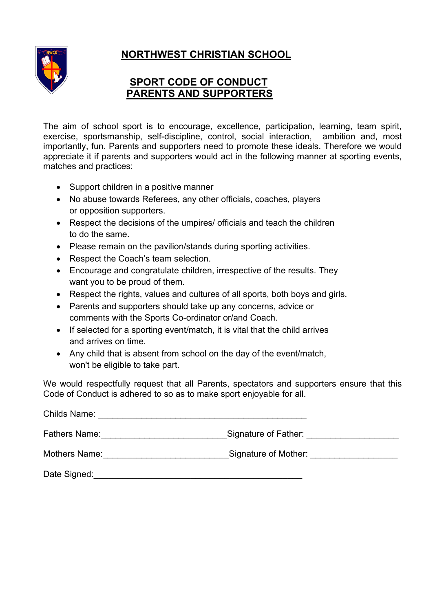



## **SPORT CODE OF CONDUCT PARENTS AND SUPPORTERS**

The aim of school sport is to encourage, excellence, participation, learning, team spirit, exercise, sportsmanship, self-discipline, control, social interaction, ambition and, most importantly, fun. Parents and supporters need to promote these ideals. Therefore we would appreciate it if parents and supporters would act in the following manner at sporting events, matches and practices:

- Support children in a positive manner
- No abuse towards Referees, any other officials, coaches, players or opposition supporters.
- Respect the decisions of the umpires/ officials and teach the children to do the same.
- Please remain on the pavilion/stands during sporting activities.
- Respect the Coach's team selection.
- Encourage and congratulate children, irrespective of the results. They want you to be proud of them.
- Respect the rights, values and cultures of all sports, both boys and girls.
- Parents and supporters should take up any concerns, advice or comments with the Sports Co-ordinator or/and Coach.
- If selected for a sporting event/match, it is vital that the child arrives and arrives on time.
- Any child that is absent from school on the day of the event/match, won't be eligible to take part.

We would respectfully request that all Parents, spectators and supporters ensure that this Code of Conduct is adhered to so as to make sport enjoyable for all.

| <b>Childs Name:</b> |                      |
|---------------------|----------------------|
| Fathers Name:       | Signature of Father: |
| Mothers Name:       | Signature of Mother: |
| Date Signed:        |                      |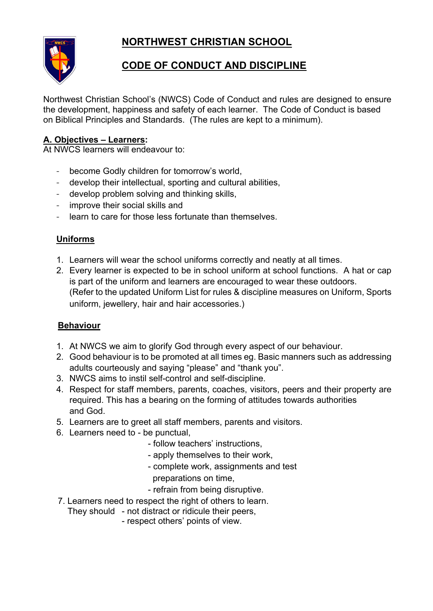

# **CODE OF CONDUCT AND DISCIPLINE**

Northwest Christian School's (NWCS) Code of Conduct and rules are designed to ensure the development, happiness and safety of each learner. The Code of Conduct is based on Biblical Principles and Standards. (The rules are kept to a minimum).

### **A. Objectives – Learners:**

At NWCS learners will endeavour to:

- become Godly children for tomorrow's world,
- develop their intellectual, sporting and cultural abilities,
- develop problem solving and thinking skills,
- improve their social skills and
- learn to care for those less fortunate than themselves.

#### **Uniforms**

- 1. Learners will wear the school uniforms correctly and neatly at all times.
- 2. Every learner is expected to be in school uniform at school functions. A hat or cap is part of the uniform and learners are encouraged to wear these outdoors. (Refer to the updated Uniform List for rules & discipline measures on Uniform, Sports uniform, jewellery, hair and hair accessories.)

#### **Behaviour**

- 1. At NWCS we aim to glorify God through every aspect of our behaviour.
- 2. Good behaviour is to be promoted at all times eg. Basic manners such as addressing adults courteously and saying "please" and "thank you".
- 3. NWCS aims to instil self-control and self-discipline.
- 4. Respect for staff members, parents, coaches, visitors, peers and their property are required. This has a bearing on the forming of attitudes towards authorities and God.
- 5. Learners are to greet all staff members, parents and visitors.
- 6. Learners need to be punctual,
	- follow teachers' instructions,
	- apply themselves to their work,
	- complete work, assignments and test preparations on time,
	- refrain from being disruptive.
- 7. Learners need to respect the right of others to learn.
	- They should not distract or ridicule their peers,
		- respect others' points of view.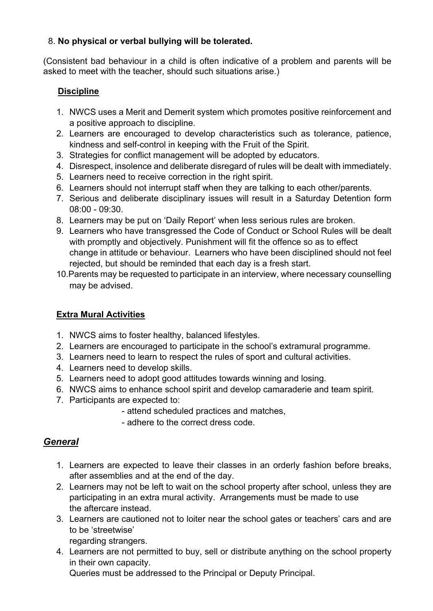### 8. **No physical or verbal bullying will be tolerated.**

(Consistent bad behaviour in a child is often indicative of a problem and parents will be asked to meet with the teacher, should such situations arise.)

### **Discipline**

- 1. NWCS uses a Merit and Demerit system which promotes positive reinforcement and a positive approach to discipline.
- 2. Learners are encouraged to develop characteristics such as tolerance, patience, kindness and self-control in keeping with the Fruit of the Spirit.
- 3. Strategies for conflict management will be adopted by educators.
- 4. Disrespect, insolence and deliberate disregard of rules will be dealt with immediately.
- 5. Learners need to receive correction in the right spirit.
- 6. Learners should not interrupt staff when they are talking to each other/parents.
- 7. Serious and deliberate disciplinary issues will result in a Saturday Detention form 08:00 - 09:30.
- 8. Learners may be put on 'Daily Report' when less serious rules are broken.
- 9. Learners who have transgressed the Code of Conduct or School Rules will be dealt with promptly and objectively. Punishment will fit the offence so as to effect change in attitude or behaviour. Learners who have been disciplined should not feel rejected, but should be reminded that each day is a fresh start.
- 10.Parents may be requested to participate in an interview, where necessary counselling may be advised.

### **Extra Mural Activities**

- 1. NWCS aims to foster healthy, balanced lifestyles.
- 2. Learners are encouraged to participate in the school's extramural programme.
- 3. Learners need to learn to respect the rules of sport and cultural activities.
- 4. Learners need to develop skills.
- 5. Learners need to adopt good attitudes towards winning and losing.
- 6. NWCS aims to enhance school spirit and develop camaraderie and team spirit.
- 7. Participants are expected to:
	- attend scheduled practices and matches,
	- adhere to the correct dress code.

### *General*

- 1. Learners are expected to leave their classes in an orderly fashion before breaks, after assemblies and at the end of the day.
- 2. Learners may not be left to wait on the school property after school, unless they are participating in an extra mural activity. Arrangements must be made to use the aftercare instead.
- 3. Learners are cautioned not to loiter near the school gates or teachers' cars and are to be 'streetwise'
	- regarding strangers.
- 4. Learners are not permitted to buy, sell or distribute anything on the school property in their own capacity.

Queries must be addressed to the Principal or Deputy Principal.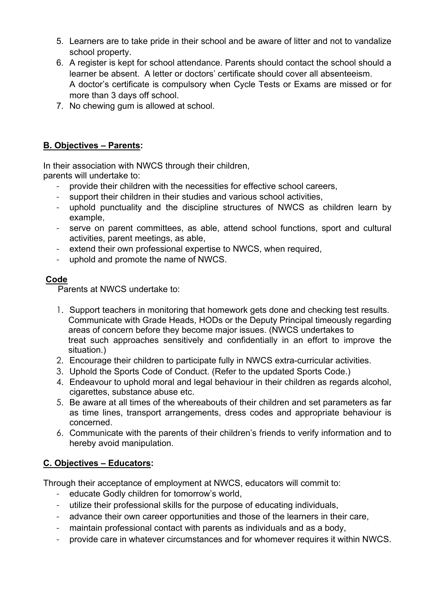- 5. Learners are to take pride in their school and be aware of litter and not to vandalize school property.
- 6. A register is kept for school attendance. Parents should contact the school should a learner be absent. A letter or doctors' certificate should cover all absenteeism. A doctor's certificate is compulsory when Cycle Tests or Exams are missed or for more than 3 days off school.
- 7. No chewing gum is allowed at school.

### **B. Objectives – Parents:**

In their association with NWCS through their children, parents will undertake to:

- provide their children with the necessities for effective school careers,
- support their children in their studies and various school activities,
- uphold punctuality and the discipline structures of NWCS as children learn by example,
- serve on parent committees, as able, attend school functions, sport and cultural activities, parent meetings, as able,
- extend their own professional expertise to NWCS, when required,
- uphold and promote the name of NWCS.

### **Code**

Parents at NWCS undertake to:

- 1. Support teachers in monitoring that homework gets done and checking test results. Communicate with Grade Heads, HODs or the Deputy Principal timeously regarding areas of concern before they become major issues. (NWCS undertakes to treat such approaches sensitively and confidentially in an effort to improve the situation.)
- 2. Encourage their children to participate fully in NWCS extra-curricular activities.
- 3. Uphold the Sports Code of Conduct. (Refer to the updated Sports Code.)
- 4. Endeavour to uphold moral and legal behaviour in their children as regards alcohol, cigarettes, substance abuse etc.
- 5. Be aware at all times of the whereabouts of their children and set parameters as far as time lines, transport arrangements, dress codes and appropriate behaviour is concerned.
- 6. Communicate with the parents of their children's friends to verify information and to hereby avoid manipulation.

### **C. Objectives – Educators:**

Through their acceptance of employment at NWCS, educators will commit to:

- educate Godly children for tomorrow's world,
- utilize their professional skills for the purpose of educating individuals,
- advance their own career opportunities and those of the learners in their care,
- maintain professional contact with parents as individuals and as a body,
- provide care in whatever circumstances and for whomever requires it within NWCS.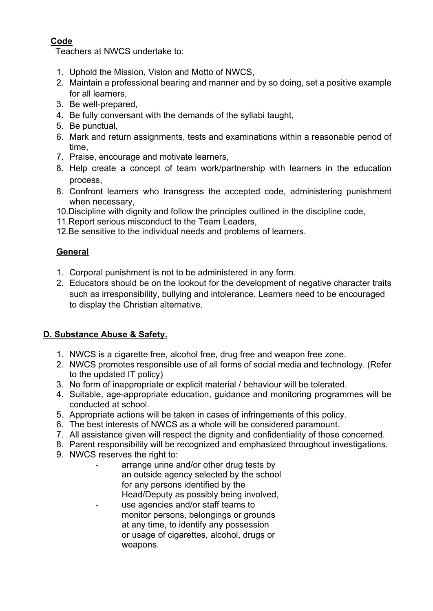### **Code**

Teachers at NWCS undertake to:

- 1. Uphold the Mission, Vision and Motto of NWCS,
- 2. Maintain a professional bearing and manner and by so doing, set a positive example for all learners,
- 3. Be well-prepared,
- 4. Be fully conversant with the demands of the syllabi taught,
- 5. Be punctual,
- 6. Mark and return assignments, tests and examinations within a reasonable period of time,
- 7. Praise, encourage and motivate learners,
- 8. Help create a concept of team work/partnership with learners in the education process,
- 8. Confront learners who transgress the accepted code, administering punishment when necessary,
- 10.Discipline with dignity and follow the principles outlined in the discipline code,
- 11.Report serious misconduct to the Team Leaders,
- 12.Be sensitive to the individual needs and problems of learners.

### **General**

- 1. Corporal punishment is not to be administered in any form.
- 2. Educators should be on the lookout for the development of negative character traits such as irresponsibility, bullying and intolerance. Learners need to be encouraged to display the Christian alternative.

### **D. Substance Abuse & Safety.**

- 1. NWCS is a cigarette free, alcohol free, drug free and weapon free zone.
- 2. NWCS promotes responsible use of all forms of social media and technology. (Refer to the updated IT policy)
- 3. No form of inappropriate or explicit material / behaviour will be tolerated.
- 4. Suitable, age-appropriate education, guidance and monitoring programmes will be conducted at school.
- 5. Appropriate actions will be taken in cases of infringements of this policy.
- 6. The best interests of NWCS as a whole will be considered paramount.
- 7. All assistance given will respect the dignity and confidentiality of those concerned.
- 8. Parent responsibility will be recognized and emphasized throughout investigations.
- 9. NWCS reserves the right to:
	- arrange urine and/or other drug tests by an outside agency selected by the school for any persons identified by the Head/Deputy as possibly being involved,
	- use agencies and/or staff teams to monitor persons, belongings or grounds at any time, to identify any possession or usage of cigarettes, alcohol, drugs or weapons.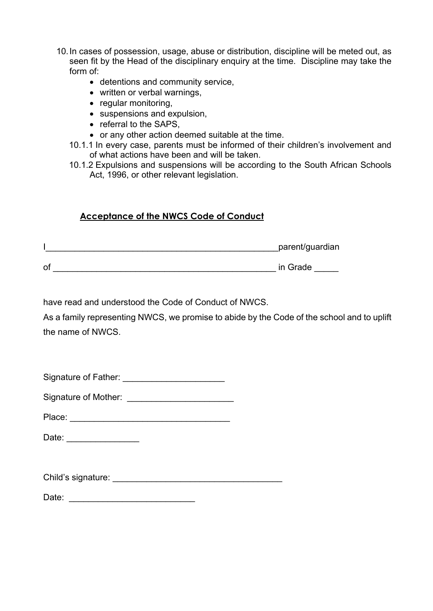- 10.In cases of possession, usage, abuse or distribution, discipline will be meted out, as seen fit by the Head of the disciplinary enquiry at the time. Discipline may take the form of:
	- detentions and community service,
	- written or verbal warnings.
	- regular monitoring,
	- suspensions and expulsion,
	- referral to the SAPS.
	- or any other action deemed suitable at the time.
	- 10.1.1 In every case, parents must be informed of their children's involvement and of what actions have been and will be taken.
	- 10.1.2 Expulsions and suspensions will be according to the South African Schools Act, 1996, or other relevant legislation.

### **Acceptance of the NWCS Code of Conduct**

|    | parent/guardian |
|----|-----------------|
| οf | in Grade        |

have read and understood the Code of Conduct of NWCS.

As a family representing NWCS, we promise to abide by the Code of the school and to uplift the name of NWCS.

Signature of Father: **Example 20** 

Signature of Mother: **Example 20** 

Place: \_\_\_\_\_\_\_\_\_\_\_\_\_\_\_\_\_\_\_\_\_\_\_\_\_\_\_\_\_\_\_\_\_

Date:  $\Box$ 

Child's signature: **Example 20** 

Date: \_\_\_\_\_\_\_\_\_\_\_\_\_\_\_\_\_\_\_\_\_\_\_\_\_\_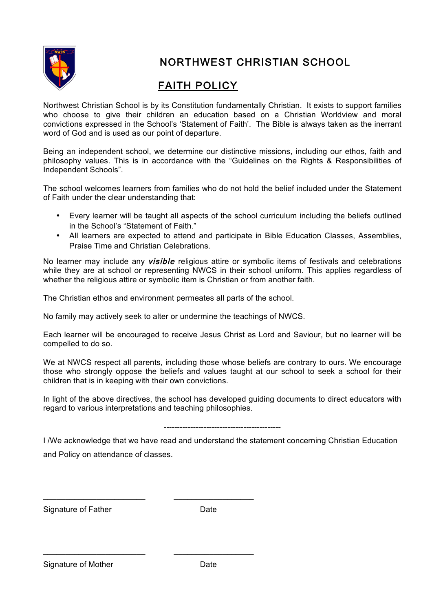

# FAITH POLICY

Northwest Christian School is by its Constitution fundamentally Christian. It exists to support families who choose to give their children an education based on a Christian Worldview and moral convictions expressed in the School's 'Statement of Faith'. The Bible is always taken as the inerrant word of God and is used as our point of departure.

Being an independent school, we determine our distinctive missions, including our ethos, faith and philosophy values. This is in accordance with the "Guidelines on the Rights & Responsibilities of Independent Schools".

The school welcomes learners from families who do not hold the belief included under the Statement of Faith under the clear understanding that:

- Every learner will be taught all aspects of the school curriculum including the beliefs outlined in the School's "Statement of Faith."
- All learners are expected to attend and participate in Bible Education Classes, Assemblies, Praise Time and Christian Celebrations.

No learner may include any *visible* religious attire or symbolic items of festivals and celebrations while they are at school or representing NWCS in their school uniform. This applies regardless of whether the religious attire or symbolic item is Christian or from another faith.

The Christian ethos and environment permeates all parts of the school.

 $\_$  , and the set of the set of the set of the set of the set of the set of the set of the set of the set of the set of the set of the set of the set of the set of the set of the set of the set of the set of the set of th

 $\_$  , and the set of the set of the set of the set of the set of the set of the set of the set of the set of the set of the set of the set of the set of the set of the set of the set of the set of the set of the set of th

No family may actively seek to alter or undermine the teachings of NWCS.

Each learner will be encouraged to receive Jesus Christ as Lord and Saviour, but no learner will be compelled to do so.

We at NWCS respect all parents, including those whose beliefs are contrary to ours. We encourage those who strongly oppose the beliefs and values taught at our school to seek a school for their children that is in keeping with their own convictions.

In light of the above directives, the school has developed guiding documents to direct educators with regard to various interpretations and teaching philosophies.

#### --------------------------------------------

I /We acknowledge that we have read and understand the statement concerning Christian Education and Policy on attendance of classes.

Signature of Father **Date** Date

Signature of Mother **Date** Date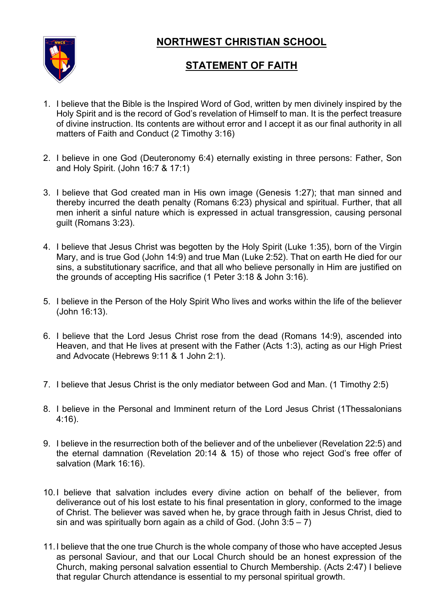

## **STATEMENT OF FAITH**

- 1. I believe that the Bible is the Inspired Word of God, written by men divinely inspired by the Holy Spirit and is the record of God's revelation of Himself to man. It is the perfect treasure of divine instruction. Its contents are without error and I accept it as our final authority in all matters of Faith and Conduct (2 Timothy 3:16)
- 2. I believe in one God (Deuteronomy 6:4) eternally existing in three persons: Father, Son and Holy Spirit. (John 16:7 & 17:1)
- 3. I believe that God created man in His own image (Genesis 1:27); that man sinned and thereby incurred the death penalty (Romans 6:23) physical and spiritual. Further, that all men inherit a sinful nature which is expressed in actual transgression, causing personal guilt (Romans 3:23).
- 4. I believe that Jesus Christ was begotten by the Holy Spirit (Luke 1:35), born of the Virgin Mary, and is true God (John 14:9) and true Man (Luke 2:52). That on earth He died for our sins, a substitutionary sacrifice, and that all who believe personally in Him are justified on the grounds of accepting His sacrifice (1 Peter 3:18 & John 3:16).
- 5. I believe in the Person of the Holy Spirit Who lives and works within the life of the believer (John 16:13).
- 6. I believe that the Lord Jesus Christ rose from the dead (Romans 14:9), ascended into Heaven, and that He lives at present with the Father (Acts 1:3), acting as our High Priest and Advocate (Hebrews 9:11 & 1 John 2:1).
- 7. I believe that Jesus Christ is the only mediator between God and Man. (1 Timothy 2:5)
- 8. I believe in the Personal and Imminent return of the Lord Jesus Christ (1Thessalonians 4:16).
- 9. I believe in the resurrection both of the believer and of the unbeliever (Revelation 22:5) and the eternal damnation (Revelation 20:14 & 15) of those who reject God's free offer of salvation (Mark 16:16).
- 10.I believe that salvation includes every divine action on behalf of the believer, from deliverance out of his lost estate to his final presentation in glory, conformed to the image of Christ. The believer was saved when he, by grace through faith in Jesus Christ, died to sin and was spiritually born again as a child of God. (John  $3:5 - 7$ )
- 11.I believe that the one true Church is the whole company of those who have accepted Jesus as personal Saviour, and that our Local Church should be an honest expression of the Church, making personal salvation essential to Church Membership. (Acts 2:47) I believe that regular Church attendance is essential to my personal spiritual growth.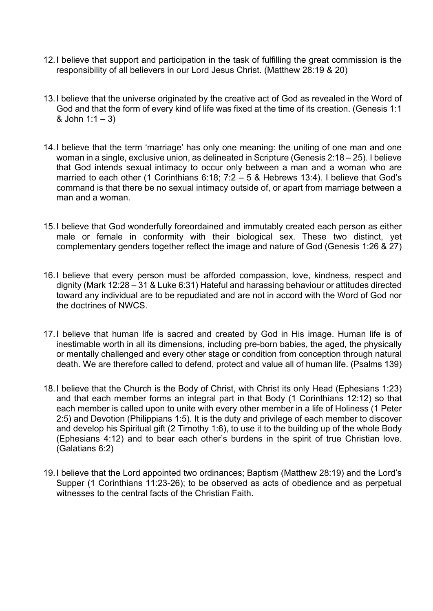- 12.I believe that support and participation in the task of fulfilling the great commission is the responsibility of all believers in our Lord Jesus Christ. (Matthew 28:19 & 20)
- 13.I believe that the universe originated by the creative act of God as revealed in the Word of God and that the form of every kind of life was fixed at the time of its creation. (Genesis 1:1  $&$  John 1:1 – 3)
- 14.I believe that the term 'marriage' has only one meaning: the uniting of one man and one woman in a single, exclusive union, as delineated in Scripture (Genesis 2:18 – 25). I believe that God intends sexual intimacy to occur only between a man and a woman who are married to each other (1 Corinthians 6:18; 7:2 – 5 & Hebrews 13:4). I believe that God's command is that there be no sexual intimacy outside of, or apart from marriage between a man and a woman.
- 15.I believe that God wonderfully foreordained and immutably created each person as either male or female in conformity with their biological sex. These two distinct, yet complementary genders together reflect the image and nature of God (Genesis 1:26 & 27)
- 16.I believe that every person must be afforded compassion, love, kindness, respect and dignity (Mark 12:28 – 31 & Luke 6:31) Hateful and harassing behaviour or attitudes directed toward any individual are to be repudiated and are not in accord with the Word of God nor the doctrines of NWCS.
- 17.I believe that human life is sacred and created by God in His image. Human life is of inestimable worth in all its dimensions, including pre-born babies, the aged, the physically or mentally challenged and every other stage or condition from conception through natural death. We are therefore called to defend, protect and value all of human life. (Psalms 139)
- 18.I believe that the Church is the Body of Christ, with Christ its only Head (Ephesians 1:23) and that each member forms an integral part in that Body (1 Corinthians 12:12) so that each member is called upon to unite with every other member in a life of Holiness (1 Peter 2:5) and Devotion (Philippians 1:5). It is the duty and privilege of each member to discover and develop his Spiritual gift (2 Timothy 1:6), to use it to the building up of the whole Body (Ephesians 4:12) and to bear each other's burdens in the spirit of true Christian love. (Galatians 6:2)
- 19.I believe that the Lord appointed two ordinances; Baptism (Matthew 28:19) and the Lord's Supper (1 Corinthians 11:23-26); to be observed as acts of obedience and as perpetual witnesses to the central facts of the Christian Faith.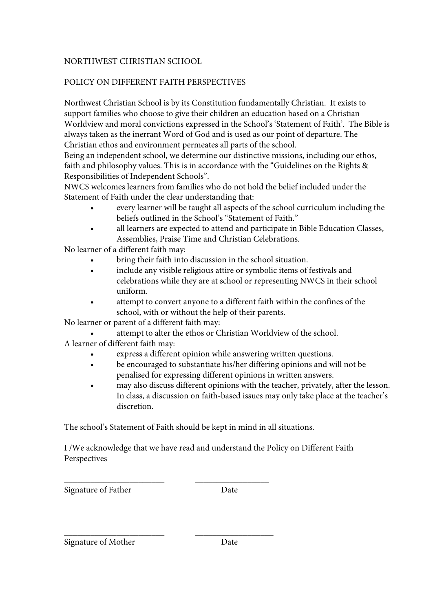### POLICY ON DIFFERENT FAITH PERSPECTIVES

Northwest Christian School is by its Constitution fundamentally Christian. It exists to support families who choose to give their children an education based on a Christian Worldview and moral convictions expressed in the School's 'Statement of Faith'. The Bible is always taken as the inerrant Word of God and is used as our point of departure. The Christian ethos and environment permeates all parts of the school.

Being an independent school, we determine our distinctive missions, including our ethos, faith and philosophy values. This is in accordance with the "Guidelines on the Rights & Responsibilities of Independent Schools".

NWCS welcomes learners from families who do not hold the belief included under the Statement of Faith under the clear understanding that:

- every learner will be taught all aspects of the school curriculum including the beliefs outlined in the School's "Statement of Faith."
- all learners are expected to attend and participate in Bible Education Classes, Assemblies, Praise Time and Christian Celebrations.

No learner of a different faith may:

- bring their faith into discussion in the school situation.
- include any visible religious attire or symbolic items of festivals and celebrations while they are at school or representing NWCS in their school uniform.
- attempt to convert anyone to a different faith within the confines of the school, with or without the help of their parents.

No learner or parent of a different faith may:

attempt to alter the ethos or Christian Worldview of the school.

A learner of different faith may:

- express a different opinion while answering written questions.
- be encouraged to substantiate his/her differing opinions and will not be penalised for expressing different opinions in written answers.
- may also discuss different opinions with the teacher, privately, after the lesson. In class, a discussion on faith-based issues may only take place at the teacher's discretion.

The school's Statement of Faith should be kept in mind in all situations.

\_\_\_\_\_\_\_\_\_\_\_\_\_\_\_\_\_\_\_\_\_\_\_ \_\_\_\_\_\_\_\_\_\_\_\_\_\_\_\_\_\_

I /We acknowledge that we have read and understand the Policy on Different Faith Perspectives

Signature of Father Date

\_\_\_\_\_\_\_\_\_\_\_\_\_\_\_\_\_\_\_\_\_\_\_ \_\_\_\_\_\_\_\_\_\_\_\_\_\_\_\_\_

Signature of Mother Date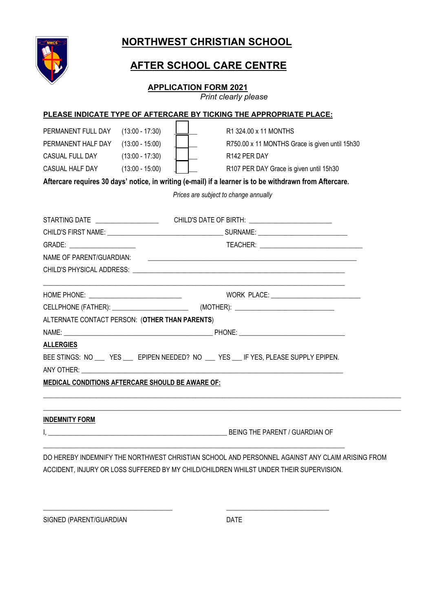

# **AFTER SCHOOL CARE CENTRE**

#### **APPLICATION FORM 2021**

*Print clearly please*

|                                                          |                                                                            |                                       | PLEASE INDICATE TYPE OF AFTERCARE BY TICKING THE APPROPRIATE PLACE:                                                  |  |
|----------------------------------------------------------|----------------------------------------------------------------------------|---------------------------------------|----------------------------------------------------------------------------------------------------------------------|--|
| PERMANENT FULL DAY<br>PERMANENT HALF DAY (13:00 - 15:00) | $(13:00 - 17:30)$                                                          |                                       | R1 324.00 x 11 MONTHS<br>R750.00 x 11 MONTHS Grace is given until 15h30                                              |  |
| CASUAL FULL DAY (13:00 - 17:30)                          |                                                                            |                                       |                                                                                                                      |  |
|                                                          |                                                                            | R142 PER DAY                          |                                                                                                                      |  |
|                                                          | CASUAL HALF DAY (13:00 - 15:00)<br>R107 PER DAY Grace is given until 15h30 |                                       |                                                                                                                      |  |
|                                                          |                                                                            |                                       | Aftercare requires 30 days' notice, in writing (e-mail) if a learner is to be withdrawn from Aftercare.              |  |
|                                                          |                                                                            | Prices are subject to change annually |                                                                                                                      |  |
|                                                          |                                                                            |                                       | STARTING DATE ________________________  CHILD'S DATE OF BIRTH: __________________                                    |  |
|                                                          |                                                                            |                                       |                                                                                                                      |  |
|                                                          |                                                                            |                                       |                                                                                                                      |  |
| GRADE: ______________________                            |                                                                            |                                       |                                                                                                                      |  |
| NAME OF PARENT/GUARDIAN:                                 |                                                                            |                                       | <u> 1989 - Johann Barn, mars ar breithinn ar chwaraeth a bhann an chwaraeth a bhann an chwaraeth a bhann an chwa</u> |  |
|                                                          |                                                                            |                                       |                                                                                                                      |  |
|                                                          |                                                                            |                                       |                                                                                                                      |  |
|                                                          |                                                                            |                                       |                                                                                                                      |  |
| ALTERNATE CONTACT PERSON: (OTHER THAN PARENTS)           |                                                                            |                                       |                                                                                                                      |  |
|                                                          |                                                                            |                                       |                                                                                                                      |  |
| <b>ALLERGIES</b>                                         |                                                                            |                                       |                                                                                                                      |  |
|                                                          |                                                                            |                                       | BEE STINGS: NO __ YES __ EPIPEN NEEDED? NO __ YES __ IF YES, PLEASE SUPPLY EPIPEN.                                   |  |
|                                                          |                                                                            |                                       |                                                                                                                      |  |
| <b>MEDICAL CONDITIONS AFTERCARE SHOULD BE AWARE OF:</b>  |                                                                            |                                       |                                                                                                                      |  |
|                                                          |                                                                            |                                       |                                                                                                                      |  |
|                                                          |                                                                            |                                       |                                                                                                                      |  |
| <b>INDEMNITY FORM</b>                                    |                                                                            |                                       |                                                                                                                      |  |
|                                                          |                                                                            |                                       | I, the contract of the contract of the contract of the BEING THE PARENT / GUARDIAN OF                                |  |
|                                                          |                                                                            |                                       |                                                                                                                      |  |
|                                                          |                                                                            |                                       |                                                                                                                      |  |

DO HEREBY INDEMNIFY THE NORTHWEST CHRISTIAN SCHOOL AND PERSONNEL AGAINST ANY CLAIM ARISING FROM ACCIDENT, INJURY OR LOSS SUFFERED BY MY CHILD/CHILDREN WHILST UNDER THEIR SUPERVISION.

\_\_\_\_\_\_\_\_\_\_\_\_\_\_\_\_\_\_\_\_\_\_\_\_\_\_\_\_\_\_\_\_\_\_\_\_\_\_\_ \_\_\_\_\_\_\_\_\_\_\_\_\_\_\_\_\_\_\_\_\_\_\_\_\_\_\_\_\_\_\_

SIGNED (PARENT/GUARDIAN DATE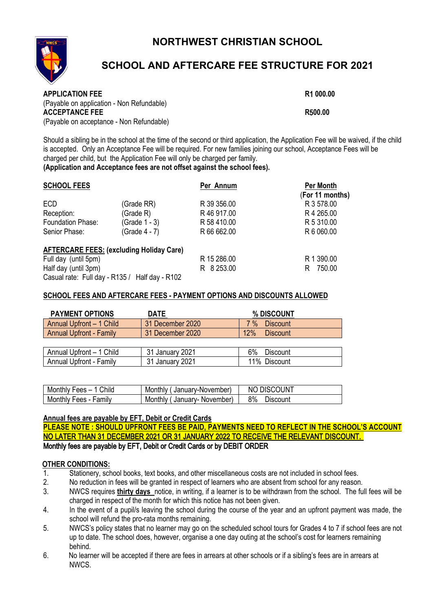

# **SCHOOL AND AFTERCARE FEE STRUCTURE FOR 2021**

| <b>APPLICATION FEE</b>                    | R1 000.00 |
|-------------------------------------------|-----------|
| (Payable on application - Non Refundable) |           |
| <b>ACCEPTANCE FEE</b>                     | R500.00   |
| (Payable on acceptance - Non Refundable)  |           |

Should a sibling be in the school at the time of the second or third application, the Application Fee will be waived, if the child is accepted. Only an Acceptance Fee will be required. For new families joining our school, Acceptance Fees will be charged per child, but the Application Fee will only be charged per family.

**(Application and Acceptance fees are not offset against the school fees).**

| <b>SCHOOL FEES</b>                             |                                                 | Per Annum   | <b>Per Month</b> |  |
|------------------------------------------------|-------------------------------------------------|-------------|------------------|--|
|                                                |                                                 |             | (For 11 months)  |  |
| ECD                                            | (Grade RR)                                      | R 39 356.00 | R 3 578.00       |  |
| Reception:                                     | (Grade R)                                       | R 46 917.00 | R 4 265.00       |  |
| Foundation Phase:                              | (Grade 1 - 3)                                   | R 58 410.00 | R 5 310.00       |  |
| Senior Phase:                                  | (Grade 4 - 7)                                   | R 66 662.00 | R 6 060.00       |  |
|                                                | <b>AFTERCARE FEES: (excluding Holiday Care)</b> |             |                  |  |
| Full day (until 5pm)                           |                                                 | R 15 286.00 | R 1 390.00       |  |
| Half day (until 3pm)                           |                                                 | R 8 253.00  | 750.00<br>R.     |  |
| Casual rate: Full day - R135 / Half day - R102 |                                                 |             |                  |  |

#### **SCHOOL FEES AND AFTERCARE FEES - PAYMENT OPTIONS AND DISCOUNTS ALLOWED**

| <b>PAYMENT OPTIONS</b>         | DATE             | % DISCOUNT               |
|--------------------------------|------------------|--------------------------|
| Annual Upfront - 1 Child       | 31 December 2020 | <b>Discount</b><br>$7\%$ |
| <b>Annual Upfront - Family</b> | 31 December 2020 | 12%<br><b>Discount</b>   |
|                                |                  |                          |
| Annual Upfront - 1 Child       | 31 January 2021  | Discount<br>6%           |
| Annual Upfront - Family        | 31 January 2021  | 11% Discount             |

| Monthly Fees - 1 Child | Monthly (January-November) | NO DISCOUNT    |
|------------------------|----------------------------|----------------|
| Monthly Fees - Family  | Monthly (January-November) | 8%<br>⊃iscount |

#### **Annual fees are payable by EFT, Debit or Credit Cards**

**PLEASE NOTE : SHOULD UPFRONT FEES BE PAID, PAYMENTS NEED TO REFLECT IN THE SCHOOL'S ACCOUNT**  NO LATER THAN 31 DECEMBER 2021 OR 31 JANUARY 2022 TO RECEIVE THE RELEVANT DISCOUNT. Monthly fees are payable by EFT, Debit or Credit Cards or by DEBIT ORDER

#### O**THER CONDITIONS:**

- 1. Stationery, school books, text books, and other miscellaneous costs are not included in school fees.<br>2. No reduction in fees will be granted in respect of learners who are absent from school for any reason
- No reduction in fees will be granted in respect of learners who are absent from school for any reason.
- 3. NWCS requires **thirty days** notice, in writing, if a learner is to be withdrawn from the school. The full fees will be charged in respect of the month for which this notice has not been given.
- 4. In the event of a pupil/s leaving the school during the course of the year and an upfront payment was made, the school will refund the pro-rata months remaining.
- 5. NWCS's policy states that no learner may go on the scheduled school tours for Grades 4 to 7 if school fees are not up to date. The school does, however, organise a one day outing at the school's cost for learners remaining behind.
- 6. No learner will be accepted if there are fees in arrears at other schools or if a sibling's fees are in arrears at NWCS.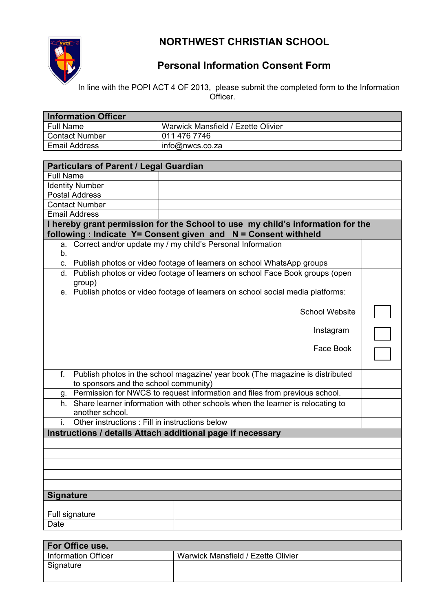

# **Personal Information Consent Form**

In line with the POPI ACT 4 OF 2013, please submit the completed form to the Information Officer.

| <b>Information Officer</b> |                                    |
|----------------------------|------------------------------------|
| <b>Full Name</b>           | Warwick Mansfield / Ezette Olivier |
| <b>Contact Number</b>      | 011 476 7746                       |
| <b>Email Address</b>       | info@nwcs.co.za                    |

| <b>Particulars of Parent / Legal Guardian</b>                                                                                                   |                       |  |
|-------------------------------------------------------------------------------------------------------------------------------------------------|-----------------------|--|
| <b>Full Name</b>                                                                                                                                |                       |  |
| <b>Identity Number</b>                                                                                                                          |                       |  |
| <b>Postal Address</b>                                                                                                                           |                       |  |
| <b>Contact Number</b>                                                                                                                           |                       |  |
| <b>Email Address</b>                                                                                                                            |                       |  |
| I hereby grant permission for the School to use my child's information for the<br>following: Indicate Y= Consent given and N = Consent withheld |                       |  |
| a. Correct and/or update my / my child's Personal Information<br>b.                                                                             |                       |  |
| c. Publish photos or video footage of learners on school WhatsApp groups                                                                        |                       |  |
| d. Publish photos or video footage of learners on school Face Book groups (open<br>group)                                                       |                       |  |
| e. Publish photos or video footage of learners on school social media platforms:                                                                |                       |  |
|                                                                                                                                                 | <b>School Website</b> |  |
|                                                                                                                                                 | Instagram             |  |
|                                                                                                                                                 | Face Book             |  |
| Publish photos in the school magazine/ year book (The magazine is distributed<br>f.<br>to sponsors and the school community)                    |                       |  |
| g. Permission for NWCS to request information and files from previous school.                                                                   |                       |  |
| h. Share learner information with other schools when the learner is relocating to<br>another school.                                            |                       |  |
| Other instructions : Fill in instructions below                                                                                                 |                       |  |
| Instructions / details Attach additional page if necessary                                                                                      |                       |  |
|                                                                                                                                                 |                       |  |
|                                                                                                                                                 |                       |  |
|                                                                                                                                                 |                       |  |
|                                                                                                                                                 |                       |  |
|                                                                                                                                                 |                       |  |
| <b>Signature</b>                                                                                                                                |                       |  |
|                                                                                                                                                 |                       |  |
| Full signature                                                                                                                                  |                       |  |
| Date                                                                                                                                            |                       |  |

| For Office use.       |                                    |
|-----------------------|------------------------------------|
| I Information Officer | Warwick Mansfield / Ezette Olivier |
| Signature             |                                    |